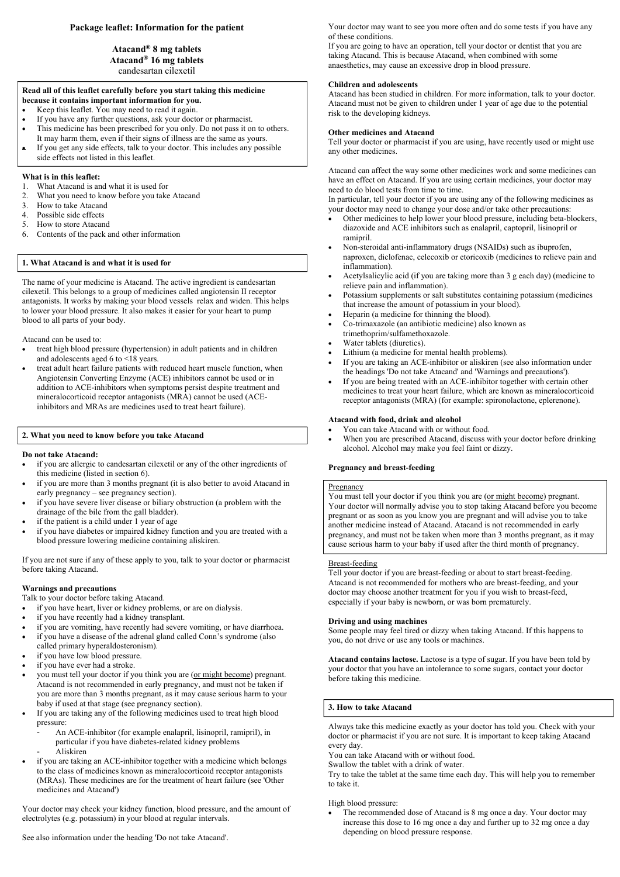# **Package leaflet: Information for the patient**

# **Atacand® 8 mg tablets Atacand® 16 mg tablets** candesartan cilexetil

#### l **Read all of this leaflet carefully before you start taking this medicine because it contains important information for you.**

- Keep this leaflet. You may need to read it again.
- If you have any further questions, ask your doctor or pharmacist.
- This medicine has been prescribed for you only. Do not pass it on to others. It may harm them, even if their signs of illness are the same as yours.
- If you get any side effects, talk to your doctor. This includes any possible side effects not listed in this leaflet.

## **What is in this leaflet:**

- 1. What Atacand is and what it is used for
- 2. What you need to know before you take Atacand
- 3. How to take Atacand
- 4. Possible side effects
- 5. How to store Atacand
- 6. Contents of the pack and other information

# **1. What Atacand is and what it is used for**

The name of your medicine is Atacand. The active ingredient is candesartan cilexetil. This belongs to a group of medicines called angiotensin II receptor antagonists. It works by making your blood vessels relax and widen. This helps to lower your blood pressure. It also makes it easier for your heart to pump blood to all parts of your body.

Atacand can be used to:

- treat high blood pressure (hypertension) in adult patients and in children and adolescents aged 6 to <18 years.
- treat adult heart failure patients with reduced heart muscle function, when Angiotensin Converting Enzyme (ACE) inhibitors cannot be used or in addition to ACE-inhibitors when symptoms persist despite treatment and mineralocorticoid receptor antagonists (MRA) cannot be used (ACEinhibitors and MRAs are medicines used to treat heart failure).

# **2. What you need to know before you take Atacand**

#### **Do not take Atacand:**

- if you are allergic to candesartan cilexetil or any of the other ingredients of this medicine (listed in section 6).
- if you are more than 3 months pregnant (it is also better to avoid Atacand in early pregnancy – see pregnancy section).
- if you have severe liver disease or biliary obstruction (a problem with the drainage of the bile from the gall bladder).
- if the patient is a child under 1 year of age
- if you have diabetes or impaired kidney function and you are treated with a blood pressure lowering medicine containing aliskiren.

If you are not sure if any of these apply to you, talk to your doctor or pharmacist before taking Atacand.

# **Warnings and precautions**

- Talk to your doctor before taking Atacand.
- if you have heart, liver or kidney problems, or are on dialysis.
- if you have recently had a kidney transplant.
- if you are vomiting, have recently had severe vomiting, or have diarrhoea.
- if you have a disease of the adrenal gland called Conn's syndrome (also called primary hyperaldosteronism).
- if you have low blood pressure.
- if you have ever had a stroke.
- you must tell your doctor if you think you are (or might become) pregnant. Atacand is not recommended in early pregnancy, and must not be taken if you are more than 3 months pregnant, as it may cause serious harm to your baby if used at that stage (see pregnancy section).
- If you are taking any of the following medicines used to treat high blood pressure:
	- An ACE-inhibitor (for example enalapril, lisinopril, ramipril), in particular if you have diabetes-related kidney problems - Aliskiren
- if you are taking an ACE-inhibitor together with a medicine which belongs to the class of medicines known as mineralocorticoid receptor antagonists (MRAs). These medicines are for the treatment of heart failure (see 'Other medicines and Atacand')

Your doctor may check your kidney function, blood pressure, and the amount of electrolytes (e.g. potassium) in your blood at regular intervals.

See also information under the heading 'Do not take Atacand'.

Your doctor may want to see you more often and do some tests if you have any of these conditions.

If you are going to have an operation, tell your doctor or dentist that you are taking Atacand. This is because Atacand, when combined with some anaesthetics, may cause an excessive drop in blood pressure.

### **Children and adolescents**

Atacand has been studied in children. For more information, talk to your doctor. Atacand must not be given to children under 1 year of age due to the potential risk to the developing kidneys.

## **Other medicines and Atacand**

Tell your doctor or pharmacist if you are using, have recently used or might use any other medicines.

Atacand can affect the way some other medicines work and some medicines can have an effect on Atacand. If you are using certain medicines, your doctor may need to do blood tests from time to time.

In particular, tell your doctor if you are using any of the following medicines as your doctor may need to change your dose and/or take other precautions:

- Other medicines to help lower your blood pressure, including beta-blockers, diazoxide and ACE inhibitors such as enalapril, captopril, lisinopril or ramipril.
- Non-steroidal anti-inflammatory drugs (NSAIDs) such as ibuprofen, naproxen, diclofenac, celecoxib or etoricoxib (medicines to relieve pain and inflammation).
- Acetylsalicylic acid (if you are taking more than 3 g each day) (medicine to relieve pain and inflammation).
- Potassium supplements or salt substitutes containing potassium (medicines that increase the amount of potassium in your blood).
- Heparin (a medicine for thinning the blood).
- Co-trimaxazole (an antibiotic medicine) also known as trimethoprim/sulfamethoxazole.
- Water tablets (diuretics).
- Lithium (a medicine for mental health problems).
- If you are taking an ACE-inhibitor or aliskiren (see also information under the headings 'Do not take Atacand' and 'Warnings and precautions').
- If you are being treated with an ACE-inhibitor together with certain other medicines to treat your heart failure, which are known as mineralocorticoid receptor antagonists (MRA) (for example: spironolactone, eplerenone).

#### **Atacand with food, drink and alcohol**

- You can take Atacand with or without food.
- When you are prescribed Atacand, discuss with your doctor before drinking alcohol. Alcohol may make you feel faint or dizzy.

# **Pregnancy and breast-feeding**

#### Pregnancy

You must tell your doctor if you think you are (or might become) pregnant. Your doctor will normally advise you to stop taking Atacand before you become pregnant or as soon as you know you are pregnant and will advise you to take another medicine instead of Atacand. Atacand is not recommended in early pregnancy, and must not be taken when more than 3 months pregnant, as it may cause serious harm to your baby if used after the third month of pregnancy.

#### Breast-feeding

Tell your doctor if you are breast-feeding or about to start breast-feeding. Atacand is not recommended for mothers who are breast-feeding, and your doctor may choose another treatment for you if you wish to breast-feed, especially if your baby is newborn, or was born prematurely.

#### **Driving and using machines**

Some people may feel tired or dizzy when taking Atacand. If this happens to you, do not drive or use any tools or machines.

**Atacand contains lactose.** Lactose is a type of sugar. If you have been told by your doctor that you have an intolerance to some sugars, contact your doctor before taking this medicine.

# **3. How to take Atacand**

Always take this medicine exactly as your doctor has told you. Check with your doctor or pharmacist if you are not sure. It is important to keep taking Atacand every day.

You can take Atacand with or without food.

Swallow the tablet with a drink of water.

Try to take the tablet at the same time each day. This will help you to remember to take it.

High blood pressure:

 The recommended dose of Atacand is 8 mg once a day. Your doctor may increase this dose to 16 mg once a day and further up to 32 mg once a day depending on blood pressure response.